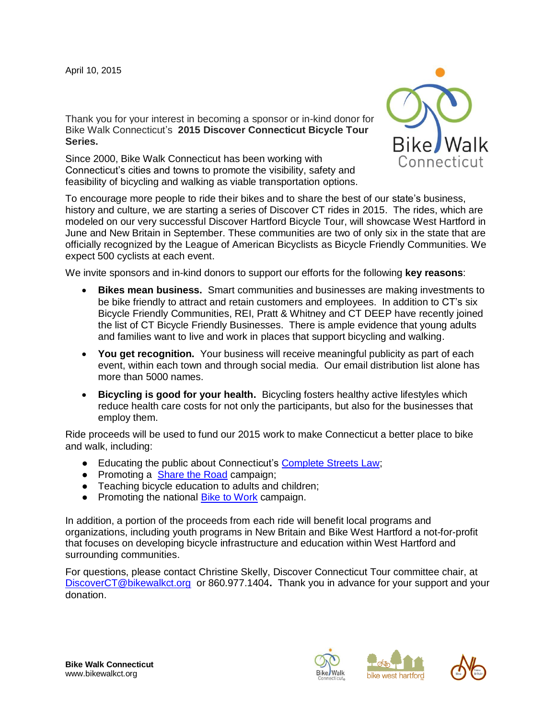Thank you for your interest in becoming a sponsor or in-kind donor for Bike Walk Connecticut's **2015 Discover Connecticut Bicycle Tour Series.**

Since 2000, Bike Walk Connecticut has been working with Connecticut's cities and towns to promote the visibility, safety and feasibility of bicycling and walking as viable transportation options.



To encourage more people to ride their bikes and to share the best of our state's business, history and culture, we are starting a series of Discover CT rides in 2015. The rides, which are modeled on our very successful Discover Hartford Bicycle Tour, will showcase West Hartford in June and New Britain in September. These communities are two of only six in the state that are officially recognized by the League of American Bicyclists as Bicycle Friendly Communities. We expect 500 cyclists at each event.

We invite sponsors and in-kind donors to support our efforts for the following **key reasons**:

- **Bikes mean business.** Smart communities and businesses are making investments to be bike friendly to attract and retain customers and employees. In addition to CT's six Bicycle Friendly Communities, REI, Pratt & Whitney and CT DEEP have recently joined the list of CT Bicycle Friendly Businesses. There is ample evidence that young adults and families want to live and work in places that support bicycling and walking.
- **You get recognition.** Your business will receive meaningful publicity as part of each event, within each town and through social media. Our email distribution list alone has more than 5000 names.
- **Bicycling is good for your health.** Bicycling fosters healthy active lifestyles which reduce health care costs for not only the participants, but also for the businesses that employ them.

Ride proceeds will be used to fund our 2015 work to make Connecticut a better place to bike and walk, including:

- Educating the public about Connecticut's [Complete Streets Law;](http://www.cga.ct.gov/2009/ACT/PA/2009PA-00154-R00SB-00735-PA.htm)
- Promoting a [Share the Road](http://www.ct.gov/dot/cwp/view.asp?a=2314&q=433254) campaign;
- Teaching bicycle education to adults and children:
- Promoting the national [Bike to Work](http://www.bikewalkct.org/bike-to-work.html) campaign.

In addition, a portion of the proceeds from each ride will benefit local programs and organizations, including youth programs in New Britain and Bike West Hartford a not-for-profit that focuses on developing bicycle infrastructure and education within West Hartford and surrounding communities.

For questions, please contact Christine Skelly, Discover Connecticut Tour committee chair, at [DiscoverCT@bikewalkct.org](mailto:DiscoverCT@bikewalkct.org) or 860.977.1404**.** Thank you in advance for your support and your donation.







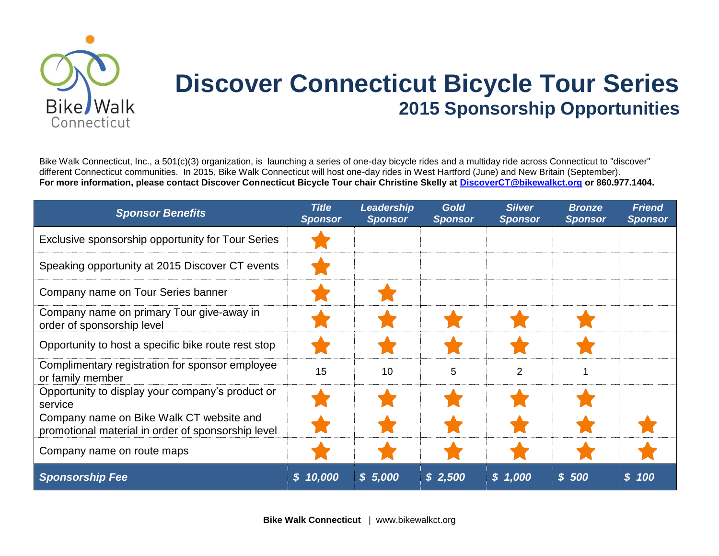

## **Discover Connecticut Bicycle Tour Series 2015 Sponsorship Opportunities**

Bike Walk Connecticut, Inc., a 501(c)(3) organization, is launching a series of one-day bicycle rides and a multiday ride across Connecticut to "discover" different Connecticut communities. In 2015, Bike Walk Connecticut will host one-day rides in West Hartford (June) and New Britain (September). **For more information, please contact Discover Connecticut Bicycle Tour chair Christine Skelly at [DiscoverCT@bikewalkct.org](mailto:DiscoverCT@bikewalkct.org) or 860.977.1404.**

| <b>Sponsor Benefits</b>                                                                        | <b>Title</b><br><b>Sponsor</b> | Leadership<br><b>Sponsor</b> | <b>Gold</b><br><b>Sponsor</b> | <b>Silver</b><br><b>Sponsor</b> | <b>Bronze</b><br><b>Sponsor</b> | <b>Friend</b><br><b>Sponsor</b> |
|------------------------------------------------------------------------------------------------|--------------------------------|------------------------------|-------------------------------|---------------------------------|---------------------------------|---------------------------------|
| Exclusive sponsorship opportunity for Tour Series                                              |                                |                              |                               |                                 |                                 |                                 |
| Speaking opportunity at 2015 Discover CT events                                                |                                |                              |                               |                                 |                                 |                                 |
| Company name on Tour Series banner                                                             |                                |                              |                               |                                 |                                 |                                 |
| Company name on primary Tour give-away in<br>order of sponsorship level                        |                                |                              |                               |                                 |                                 |                                 |
| Opportunity to host a specific bike route rest stop                                            |                                |                              |                               |                                 |                                 |                                 |
| Complimentary registration for sponsor employee<br>or family member                            | 15                             | 10                           | 5                             | $\overline{2}$                  |                                 |                                 |
| Opportunity to display your company's product or<br>service                                    |                                |                              |                               |                                 |                                 |                                 |
| Company name on Bike Walk CT website and<br>promotional material in order of sponsorship level |                                |                              |                               |                                 |                                 |                                 |
| Company name on route maps                                                                     |                                |                              |                               |                                 |                                 |                                 |
| <b>Sponsorship Fee</b>                                                                         | \$10,000                       | \$5,000                      | \$2,500                       | \$1,000                         | \$500                           | \$100                           |